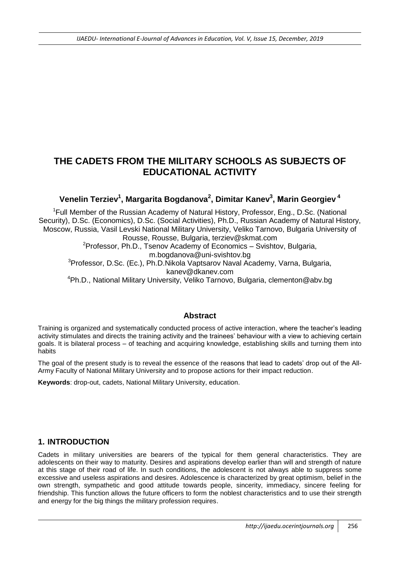# **THE CADETS FROM THE MILITARY SCHOOLS AS SUBJECTS OF EDUCATIONAL ACTIVITY**

# **Venelin Terziev<sup>1</sup> , Margarita Bogdanova<sup>2</sup> , Dimitar Kanev<sup>3</sup> , Мarin Georgiev <sup>4</sup>**

<sup>1</sup>Full Member of the Russian Academy of Natural History, Professor, Eng., D.Sc. (National Security), D.Sc. (Economics), D.Sc. (Social Activities), Ph.D., Russian Academy of Natural History, Moscow, Russia, Vasil Levski National Military University, Veliko Tarnovo, Bulgaria University of Rousse, Rousse, Bulgaria, [terziev@skmat.com](mailto:terziev@skmat.com) <sup>2</sup>Professor, Ph.D., Tsenov Academy of Economics – Svishtov, Bulgaria,

[m.bogdanova@uni-svishtov.bg](mailto:m.bogdanova@uni-svishtov.bg) <sup>3</sup>Professor, D.Sc. (Ec.), Ph.D.Nikola Vaptsarov Naval Academy, Varna, Bulgaria,

kanev@dkanev.com

<sup>4</sup>Ph.D., National Military University, Veliko Tarnovo, Bulgaria, clementon@abv.bg

### **Abstract**

Training is organized and systematically conducted process of active interaction, where the teacher's leading activity stimulates and directs the training activity and the trainees' behaviour with a view to achieving certain goals. It is bilateral process – of teaching and acquiring knowledge, establishing skills and turning them into habits

The goal of the present study is to reveal the essence of the reasons that lead to cadets' drop out of the All-Army Faculty of National Military University and to propose actions for their impact reduction.

**Keywords**: drop-out, cadets, National Military University, education.

### **1. INTRODUCTION**

Cadets in military universities are bearers of the typical for them general characteristics. They are adolescents on their way to maturity. Desires and aspirations develop earlier than will and strength of nature at this stage of their road of life. In such conditions, the adolescent is not always able to suppress some excessive and useless aspirations and desires. Adolescence is characterized by great optimism, belief in the own strength, sympathetic and good attitude towards people, sincerity, immediacy, sincere feeling for friendship. This function allows the future officers to form the noblest characteristics and to use their strength and energy for the big things the military profession requires.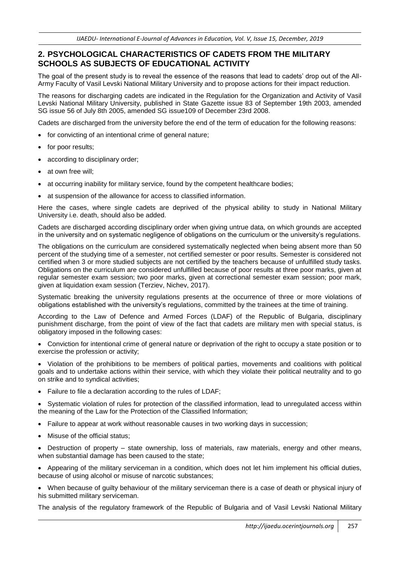#### **2. PSYCHOLOGICAL CHARACTERISTICS OF CADETS FROM THE MILITARY SCHOOLS AS SUBJECTS OF EDUCATIONAL ACTIVITY**

The goal of the present study is to reveal the essence of the reasons that lead to cadets' drop out of the All-Army Faculty of Vasil Levski National Military University and to propose actions for their impact reduction.

The reasons for discharging cadets are indicated in the Regulation for the Organization and Activity of Vasil Levski National Military University, published in State Gazette issue 83 of September 19th 2003, amended SG issue 56 of July 8th 2005, amended SG issue109 of December 23rd 2008.

Cadets are discharged from the university before the end of the term of education for the following reasons:

- for convicting of an intentional crime of general nature;
- for poor results;
- according to disciplinary order;
- at own free will;
- at occurring inability for military service, found by the competent healthcare bodies;
- at suspension of the allowance for access to classified information.

Here the cases, where single cadets are deprived of the physical ability to study in National Military University i.e. death, should also be added.

Cadets are discharged according disciplinary order when giving untrue data, on which grounds are accepted in the university and on systematic negligence of obligations on the curriculum or the university's regulations.

The obligations on the curriculum are considered systematically neglected when being absent more than 50 percent of the studying time of a semester, not certified semester or poor results. Semester is considered not certified when 3 or more studied subjects are not certified by the teachers because of unfulfilled study tasks. Obligations on the curriculum are considered unfulfilled because of poor results at three poor marks, given at regular semester exam session; two poor marks, given at correctional semester exam session; poor mark, given at liquidation exam session (Terziev, Nichev, 2017).

Systematic breaking the university regulations presents at the occurrence of three or more violations of obligations established with the university's regulations, committed by the trainees at the time of training.

According to the Law of Defence and Armed Forces (LDAF) of the Republic of Bulgaria, disciplinary punishment discharge, from the point of view of the fact that cadets are military men with special status, is obligatory imposed in the following cases:

 Conviction for intentional crime of general nature or deprivation of the right to occupy a state position or to exercise the profession or activity;

 Violation of the prohibitions to be members of political parties, movements and coalitions with political goals and to undertake actions within their service, with which they violate their political neutrality and to go on strike and to syndical activities;

Failure to file a declaration according to the rules of LDAF;

 Systematic violation of rules for protection of the classified information, lead to unregulated access within the meaning of the Law for the Protection of the Classified Information;

- Failure to appear at work without reasonable causes in two working days in succession;
- Misuse of the official status;

 Destruction of property – state ownership, loss of materials, raw materials, energy and other means, when substantial damage has been caused to the state;

• Appearing of the military serviceman in a condition, which does not let him implement his official duties, because of using alcohol or misuse of narcotic substances;

 When because of guilty behaviour of the military serviceman there is a case of death or physical injury of his submitted military serviceman.

The analysis of the regulatory framework of the Republic of Bulgaria and of Vasil Levski National Military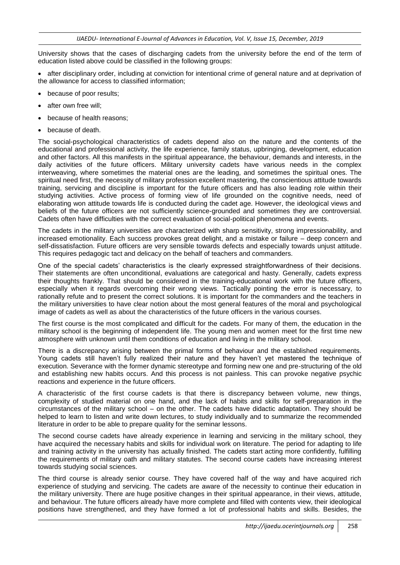University shows that the cases of discharging cadets from the university before the end of the term of education listed above could be classified in the following groups:

• after disciplinary order, including at conviction for intentional crime of general nature and at deprivation of the allowance for access to classified information;

- because of poor results:
- after own free will;
- because of health reasons;
- because of death.

The social-psychological characteristics of cadets depend also on the nature and the contents of the educational and professional activity, the life experience, family status, upbringing, development, education and other factors. All this manifests in the spiritual appearance, the behaviour, demands and interests, in the daily activities of the future officers. Military university cadets have various needs in the complex interweaving, where sometimes the material ones are the leading, and sometimes the spiritual ones. The spiritual need first, the necessity of military profession excellent mastering, the conscientious attitude towards training, servicing and discipline is important for the future officers and has also leading role within their studying activities. Active process of forming view of life grounded on the cognitive needs, need of elaborating won attitude towards life is conducted during the cadet age. However, the ideological views and beliefs of the future officers are not sufficiently science-grounded and sometimes they are controversial. Cadets often have difficulties with the correct evaluation of social-political phenomena and events.

The cadets in the military universities are characterized with sharp sensitivity, strong impressionability, and increased emotionality. Each success provokes great delight, and a mistake or failure – deep concern and self-dissatisfaction. Future officers are very sensible towards defects and especially towards unjust attitude. This requires pedagogic tact and delicacy on the behalf of teachers and commanders.

One of the special cadets' characteristics is the clearly expressed straightforwardness of their decisions. Their statements are often unconditional, evaluations are categorical and hasty. Generally, cadets express their thoughts frankly. That should be considered in the training-educational work with the future officers, especially when it regards overcoming their wrong views. Tactically pointing the error is necessary, to rationally refute and to present the correct solutions. It is important for the commanders and the teachers in the military universities to have clear notion about the most general features of the moral and psychological image of cadets as well as about the characteristics of the future officers in the various courses.

The first course is the most complicated and difficult for the cadets. For many of them, the education in the military school is the beginning of independent life. The young men and women meet for the first time new atmosphere with unknown until them conditions of education and living in the military school.

There is a discrepancy arising between the primal forms of behaviour and the established requirements. Young cadets still haven't fully realized their nature and they haven't yet mastered the technique of execution. Severance with the former dynamic stereotype and forming new one and pre-structuring of the old and establishing new habits occurs. And this process is not painless. This can provoke negative psychic reactions and experience in the future officers.

A characteristic of the first course cadets is that there is discrepancy between volume, new things, complexity of studied material on one hand, and the lack of habits and skills for self-preparation in the circumstances of the military school – on the other. The cadets have didactic adaptation. They should be helped to learn to listen and write down lectures, to study individually and to summarize the recommended literature in order to be able to prepare quality for the seminar lessons.

The second course cadets have already experience in learning and servicing in the military school, they have acquired the necessary habits and skills for individual work on literature. The period for adapting to life and training activity in the university has actually finished. The cadets start acting more confidently, fulfilling the requirements of military oath and military statutes. The second course cadets have increasing interest towards studying social sciences.

The third course is already senior course. They have covered half of the way and have acquired rich experience of studying and servicing. The cadets are aware of the necessity to continue their education in the military university. There are huge positive changes in their spiritual appearance, in their views, attitude, and behaviour. The future officers already have more complete and filled with contents view, their ideological positions have strengthened, and they have formed a lot of professional habits and skills. Besides, the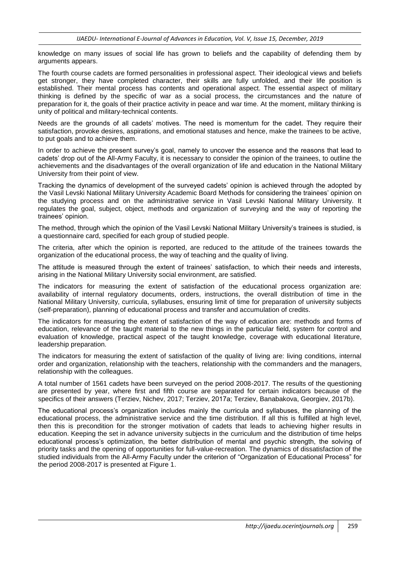knowledge on many issues of social life has grown to beliefs and the capability of defending them by arguments appears.

The fourth course cadets are formed personalities in professional aspect. Their ideological views and beliefs get stronger, they have completed character, their skills are fully unfolded, and their life position is established. Their mental process has contents and operational aspect. The essential aspect of military thinking is defined by the specific of war as a social process, the circumstances and the nature of preparation for it, the goals of their practice activity in peace and war time. At the moment, military thinking is unity of political and military-technical contents.

Needs are the grounds of all cadets' motives. The need is momentum for the cadet. They require their satisfaction, provoke desires, aspirations, and emotional statuses and hence, make the trainees to be active, to put goals and to achieve them.

In order to achieve the present survey's goal, namely to uncover the essence and the reasons that lead to cadets' drop out of the All-Army Faculty, it is necessary to consider the opinion of the trainees, to outline the achievements and the disadvantages of the overall organization of life and education in the National Military University from their point of view.

Tracking the dynamics of development of the surveyed cadets' opinion is achieved through the adopted by the Vasil Levski National Military University Academic Board Methods for considering the trainees' opinion on the studying process and on the administrative service in Vasil Levski National Military University. It regulates the goal, subject, object, methods and organization of surveying and the way of reporting the trainees' opinion.

The method, through which the opinion of the Vasil Levski National Military University's trainees is studied, is a questionnaire card, specified for each group of studied people.

The criteria, after which the opinion is reported, are reduced to the attitude of the trainees towards the organization of the educational process, the way of teaching and the quality of living.

The attitude is measured through the extent of trainees' satisfaction, to which their needs and interests, arising in the National Military University social environment, are satisfied.

The indicators for measuring the extent of satisfaction of the educational process organization are: availability of internal regulatory documents, orders, instructions, the overall distribution of time in the National Military University, curricula, syllabuses, ensuring limit of time for preparation of university subjects (self-preparation), planning of educational process and transfer and accumulation of credits.

The indicators for measuring the extent of satisfaction of the way of education are: methods and forms of education, relevance of the taught material to the new things in the particular field, system for control and evaluation of knowledge, practical aspect of the taught knowledge, coverage with educational literature, leadership preparation.

The indicators for measuring the extent of satisfaction of the quality of living are: living conditions, internal order and organization, relationship with the teachers, relationship with the commanders and the managers, relationship with the colleagues.

A total number of 1561 cadets have been surveyed on the period 2008-2017. The results of the questioning are presented by year, where first and fifth course are separated for certain indicators because of the specifics of their answers (Terziev, Nichev, 2017; Terziev, 2017a; Terziev, Banabakova, Georgiev, 2017b).

The educational process's organization includes mainly the curricula and syllabuses, the planning of the educational process, the administrative service and the time distribution. If all this is fulfilled at high level, then this is precondition for the stronger motivation of cadets that leads to achieving higher results in education. Keeping the set in advance university subjects in the curriculum and the distribution of time helps educational process's optimization, the better distribution of mental and psychic strength, the solving of priority tasks and the opening of opportunities for full-value-recreation. The dynamics of dissatisfaction of the studied individuals from the All-Army Faculty under the criterion of "Organization of Educational Process" for the period 2008-2017 is presented at Figure 1.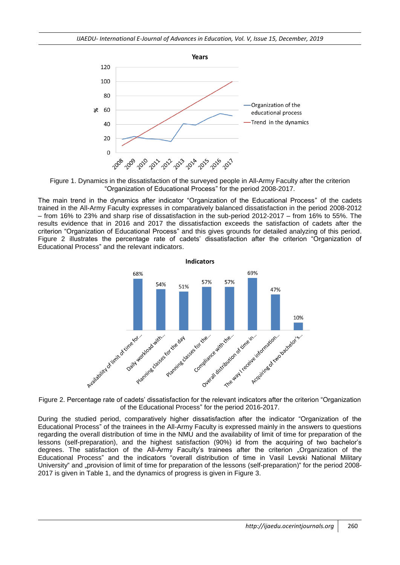

Figure 1. Dynamics in the dissatisfaction of the surveyed people in All-Army Faculty after the criterion "Organization of Educational Process" for the period 2008-2017.

The main trend in the dynamics after indicator "Organization of the Educational Process" of the cadets trained in the All-Army Faculty expresses in comparatively balanced dissatisfaction in the period 2008-2012 – from 16% to 23% and sharp rise of dissatisfaction in the sub-period 2012-2017 – from 16% to 55%. The results evidence that in 2016 and 2017 the dissatisfaction exceeds the satisfaction of cadets after the criterion "Organization of Educational Process" and this gives grounds for detailed analyzing of this period. Figure 2 illustrates the percentage rate of cadets' dissatisfaction after the criterion "Organization of Educational Process" and the relevant indicators.



Figure 2. Percentage rate of cadets' dissatisfaction for the relevant indicators after the criterion "Organization of the Educational Process" for the period 2016-2017.

During the studied period, comparatively higher dissatisfaction after the indicator "Organization of the Educational Process" of the trainees in the All-Army Faculty is expressed mainly in the answers to questions regarding the overall distribution of time in the NMU and the availability of limit of time for preparation of the lessons (self-preparation), and the highest satisfaction (90%) id from the acquiring of two bachelor's degrees. The satisfaction of the All-Army Faculty's trainees after the criterion "Organization of the Educational Process" and the indicators "overall distribution of time in Vasil Levski National Military University" and "provision of limit of time for preparation of the lessons (self-preparation)" for the period 2008-2017 is given in Table 1, and the dynamics of progress is given in Figure 3.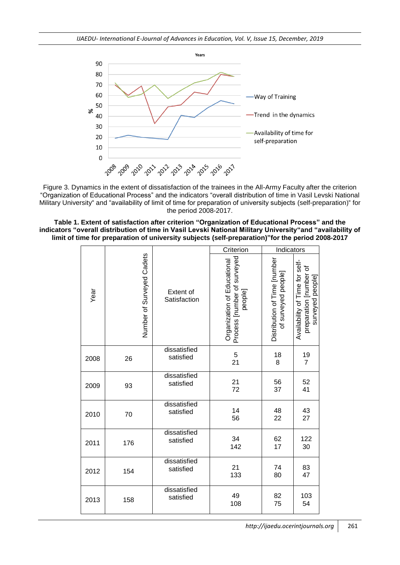

Figure 3. Dynamics in the extent of dissatisfaction of the trainees in the All-Army Faculty after the criterion "Organization of Educational Process" and the indicators "overall distribution of time in Vasil Levski National Military University" and "availability of limit of time for preparation of university subjects (self-preparation)" for the period 2008-2017.

**Table 1. Extent of satisfaction after criterion "Organization of Educational Process" and the indicators "overall distribution of time in Vasil Levski National Military University"and "availability of limit of time for preparation of university subjects (self-preparation)"for the period 2008-2017**

|      |                           |                           | Criterion                                                             | Indicators                                         |                                                                              |
|------|---------------------------|---------------------------|-----------------------------------------------------------------------|----------------------------------------------------|------------------------------------------------------------------------------|
| Year | Number of Surveyed Cadets | Extent of<br>Satisfaction | Process [number of surveyed<br>Organization of Educational<br>peoplej | Distribution of Time [number<br>of surveyed people | Availability of Time for self-<br>preparation [number of<br>surveyed people] |
| 2008 | 26                        | dissatisfied<br>satisfied | 5<br>21                                                               | 18<br>8                                            | 19<br>$\overline{7}$                                                         |
| 2009 | 93                        | dissatisfied<br>satisfied | 21<br>72                                                              | 56<br>37                                           | 52<br>41                                                                     |
| 2010 | 70                        | dissatisfied<br>satisfied | 14<br>56                                                              | 48<br>22                                           | 43<br>27                                                                     |
| 2011 | 176                       | dissatisfied<br>satisfied | 34<br>142                                                             | 62<br>17                                           | 122<br>30                                                                    |
| 2012 | 154                       | dissatisfied<br>satisfied | 21<br>133                                                             | 74<br>80                                           | 83<br>47                                                                     |
| 2013 | 158                       | dissatisfied<br>satisfied | 49<br>108                                                             | 82<br>75                                           | 103<br>54                                                                    |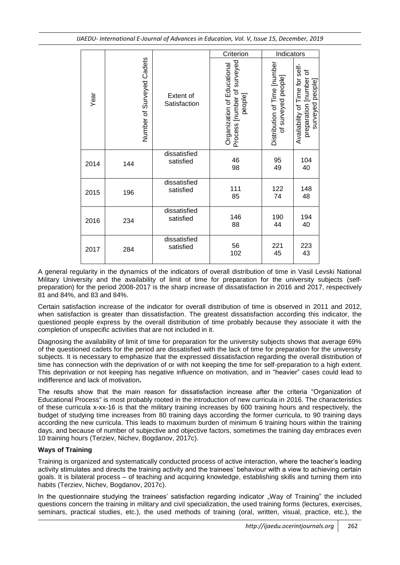|      |                           |                           | Criterion                                                             | Indicators                                         |                                                                              |
|------|---------------------------|---------------------------|-----------------------------------------------------------------------|----------------------------------------------------|------------------------------------------------------------------------------|
| Year | Number of Surveyed Cadets | Extent of<br>Satisfaction | Process [number of surveyed<br>Organization of Educational<br>people] | Distribution of Time [number<br>of surveyed people | Availability of Time for self-<br>preparation [number of<br>surveyed people] |
| 2014 | 144                       | dissatisfied<br>satisfied | 46<br>98                                                              | 95<br>49                                           | 104<br>40                                                                    |
| 2015 | 196                       | dissatisfied<br>satisfied | 111<br>85                                                             | 122<br>74                                          | 148<br>48                                                                    |
| 2016 | 234                       | dissatisfied<br>satisfied | 146<br>88                                                             | 190<br>44                                          | 194<br>40                                                                    |
| 2017 | 284                       | dissatisfied<br>satisfied | 56<br>102                                                             | 221<br>45                                          | 223<br>43                                                                    |

A general regularity in the dynamics of the indicators of overall distribution of time in Vasil Levski National Military University and the availability of limit of time for preparation for the university subjects (selfpreparation) for the period 2008-2017 is the sharp increase of dissatisfaction in 2016 and 2017, respectively 81 and 84%, and 83 and 84%.

Certain satisfaction increase of the indicator for overall distribution of time is observed in 2011 and 2012, when satisfaction is greater than dissatisfaction. The greatest dissatisfaction according this indicator, the questioned people express by the overall distribution of time probably because they associate it with the completion of unspecific activities that are not included in it.

Diagnosing the availability of limit of time for preparation for the university subjects shows that average 69% of the questioned cadets for the period are dissatisfied with the lack of time for preparation for the university subjects. It is necessary to emphasize that the expressed dissatisfaction regarding the overall distribution of time has connection with the deprivation of or with not keeping the time for self-preparation to a high extent. This deprivation or not keeping has negative influence on motivation, and in "heavier" cases could lead to indifference and lack of motivation**.**

The results show that the main reason for dissatisfaction increase after the criteria "Organization of Educational Process" is most probably rooted in the introduction of new curricula in 2016. The characteristics of these curricula х-хх-16 is that the military training increases by 600 training hours and respectively, the budget of studying time increases from 80 training days according the former curricula, to 90 training days according the new curricula. This leads to maximum burden of minimum 6 training hours within the training days, and because of number of subjective and objective factors, sometimes the training day embraces even 10 training hours (Terziev, Nichev, Bogdanov, 2017c).

#### **Ways of Training**

Training is organized and systematically conducted process of active interaction, where the teacher's leading activity stimulates and directs the training activity and the trainees' behaviour with a view to achieving certain goals. It is bilateral process – of teaching and acquiring knowledge, establishing skills and turning them into habits (Terziev, Nichev, Bogdanov, 2017c).

In the questionnaire studying the trainees' satisfaction regarding indicator "Way of Training" the included questions concern the training in military and civil specialization, the used training forms (lectures, exercises, seminars, practical studies, etc.), the used methods of training (oral, written, visual, practice, etc.), the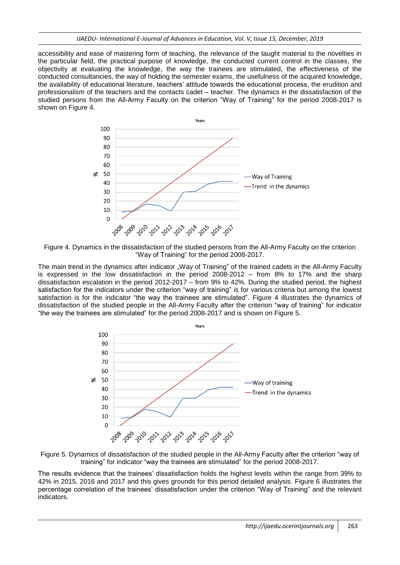accessibility and ease of mastering form of teaching, the relevance of the taught material to the novelties in the particular field, the practical purpose of knowledge, the conducted current control in the classes, the objectivity at evaluating the knowledge, the way the trainees are stimulated, the effectiveness of the conducted consultancies, the way of holding the semester exams, the usefulness of the acquired knowledge, the availability of educational literature, teachers' attitude towards the educational process, the erudition and professionalism of the teachers and the contacts cadet – teacher. The dynamics in the dissatisfaction of the studied persons from the All-Army Faculty on the criterion "Way of Training" for the period 2008-2017 is shown on Figure 4.



Figure 4. Dynamics in the dissatisfaction of the studied persons from the All-Army Faculty on the criterion "Way of Training" for the period 2008-2017.

The main trend in the dynamics after indicator "Way of Training" of the trained cadets in the All-Army Faculty is expressed in the low dissatisfaction in the period 2008-2012 – from 8% to 17% and the sharp dissatisfaction escalation in the period 2012-2017 – from 9% to 42%. During the studied period, the highest satisfaction for the indicators under the criterion "way of training" is for various criteria but among the lowest satisfaction is for the indicator "the way the trainees are stimulated". Figure 4 illustrates the dynamics of dissatisfaction of the studied people in the All-Army Faculty after the criterion "way of training" for indicator "the way the trainees are stimulated" for the period 2008-2017 and is shown on Figure 5.



Figure 5. Dynamics of dissatisfaction of the studied people in the All-Army Faculty after the criterion "way of training" for indicator "way the trainees are stimulated" for the period 2008-2017.

The results evidence that the trainees' dissatisfaction holds the highest levels within the range from 39% to 42% in 2015, 2016 and 2017 and this gives grounds for this period detailed analysis. Figure 6 illustrates the percentage correlation of the trainees' dissatisfaction under the criterion "Way of Training" and the relevant indicators.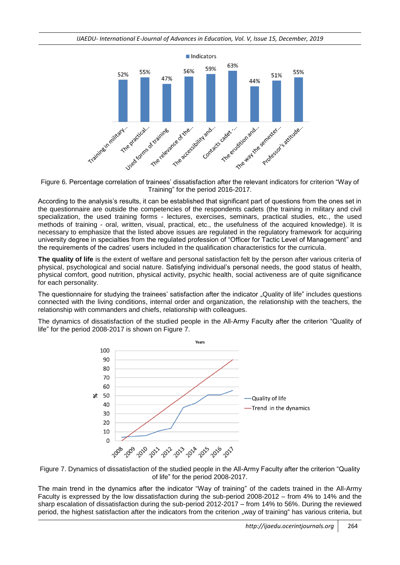



According to the analysis's results, it can be established that significant part of questions from the ones set in the questionnaire are outside the competencies of the respondents cadets (the training in military and civil specialization, the used training forms - lectures, exercises, seminars, practical studies, etc., the used methods of training - oral, written, visual, practical, etc., the usefulness of the acquired knowledge). It is necessary to emphasize that the listed above issues are regulated in the regulatory framework for acquiring university degree in specialties from the regulated profession of "Officer for Tactic Level of Management" and the requirements of the cadres' users included in the qualification characteristics for the curricula.

**The quality of life** is the extent of welfare and personal satisfaction felt by the person after various criteria of physical, psychological and social nature. Satisfying individual's personal needs, the good status of health, physical comfort, good nutrition, physical activity, psychic health, social activeness are of quite significance for each personality.

The questionnaire for studying the trainees' satisfaction after the indicator "Quality of life" includes questions connected with the living conditions, internal order and organization, the relationship with the teachers, the relationship with commanders and chiefs, relationship with colleagues.

The dynamics of dissatisfaction of the studied people in the All-Army Faculty after the criterion "Quality of life" for the period 2008-2017 is shown on Figure 7.





The main trend in the dynamics after the indicator "Way of training" of the cadets trained in the All-Army Faculty is expressed by the low dissatisfaction during the sub-period 2008-2012 – from 4% to 14% and the sharp escalation of dissatisfaction during the sub-period 2012-2017 – from 14% to 56%. During the reviewed period, the highest satisfaction after the indicators from the criterion "way of training" has various criteria, but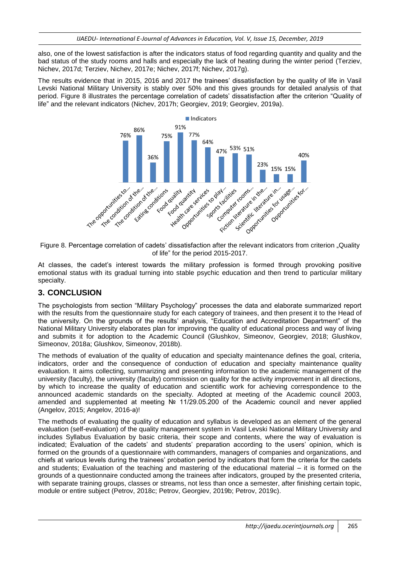also, one of the lowest satisfaction is after the indicators status of food regarding quantity and quality and the bad status of the study rooms and halls and especially the lack of heating during the winter period (Terziev, Nichev, 2017d; Terziev, Nichev, 2017e; Nichev, 2017f; Nichev, 2017g).

The results evidence that in 2015, 2016 and 2017 the trainees' dissatisfaction by the quality of life in Vasil Levski National Military University is stably over 50% and this gives grounds for detailed analysis of that period. Figure 8 illustrates the percentage correlation of cadets' dissatisfaction after the criterion "Quality of life" and the relevant indicators (Nichev, 2017h; Georgiev, 2019; Georgiev, 2019a).



Figure 8. Percentage correlation of cadets' dissatisfaction after the relevant indicators from criterion "Quality of life" for the period 2015-2017.

At classes, the cadet's interest towards the military profession is formed through provoking positive emotional status with its gradual turning into stable psychic education and then trend to particular military specialty.

## **3. CONCLUSION**

The psychologists from section "Military Psychology" processes the data and elaborate summarized report with the results from the questionnaire study for each category of trainees, and then present it to the Head of the university. On the grounds of the results' analysis, "Education and Accreditation Department" of the National Military University elaborates plan for improving the quality of educational process and way of living and submits it for adoption to the Academic Council (Glushkov, Simeonov, Georgiev, 2018; Glushkov, Simeonov, 2018a; Glushkov, Simeonov, 2018b).

The methods of evaluation of the quality of education and specialty maintenance defines the goal, criteria, indicators, order and the consequence of conduction of education and specialty maintenance quality evaluation. It aims collecting, summarizing and presenting information to the academic management of the university (faculty), the university (faculty) commission on quality for the activity improvement in all directions. by which to increase the quality of education and scientific work for achieving correspondence to the announced academic standards on the specialty. Adopted at meeting of the Academic council 2003, amended and supplemented at meeting № 11/29.05.200 of the Academic council and never applied (Angelov, 2015; Angelov, 2016-а)!

The methods of evaluating the quality of education and syllabus is developed as an element of the general evaluation (self-evaluation) of the quality management system in Vasil Levski National Military University and includes Syllabus Evaluation by basic criteria, their scope and contents, where the way of evaluation is indicated; Evaluation of the cadets' and students' preparation according to the users' opinion, which is formed on the grounds of a questionnaire with commanders, managers of companies and organizations, and chiefs at various levels during the trainees' probation period by indicators that form the criteria for the cadets and students; Evaluation of the teaching and mastering of the educational material – it is formed on the grounds of a questionnaire conducted among the trainees after indicators, grouped by the presented criteria, with separate training groups, classes or streams, not less than once a semester, after finishing certain topic, module or entire subject (Petrov, 2018c; Petrov, Georgiev, 2019b; Petrov, 2019c).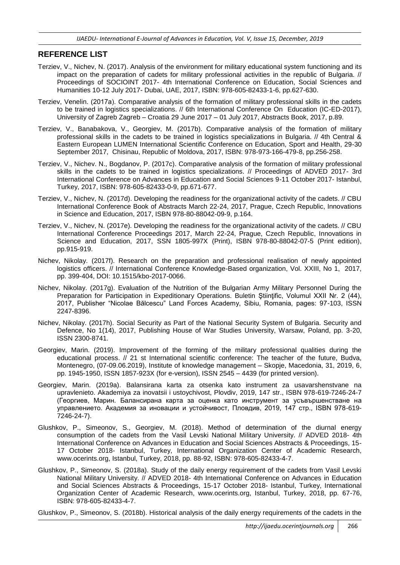#### **REFERENCE LIST**

- Terziev, V., Nichev, N. (2017). Analysis of the environment for military educational system functioning and its impact on the preparation of cadets for military professional activities in the republic of Bulgaria. // Proceedings of SOCIOINT 2017- 4th International Conference on Education, Social Sciences and Humanities 10-12 July 2017- Dubai, UAE, 2017, ISBN: 978-605-82433-1-6, pp.627-630.
- Terziev, Venelin. (2017а). Comparative analysis of the formation of military professional skills in the cadets to be trained in logistics specializations. // 6th International Conference On Education (IC-ED-2017), University of Zagreb Zagreb – Croatia 29 June 2017 – 01 July 2017, Abstracts Book, 2017, p.89.
- Terziev, V., Banabakova, V., Georgiev, M. (2017b). Comparative analysis of the formation of military professional skills in the cadets to be trained in logistics specializations in Bulgaria. // 4th Central & Eastern European LUMEN International Scientific Conference on Education, Sport and Health, 29-30 September 2017, Chisinau, Republic of Moldova, 2017, ISBN: 978-973-166-479-8, pp.256-258.
- Terziev, V., Nichev. N., Bogdanov, P. (2017c). Comparative analysis of the formation of military professional skills in the cadets to be trained in logistics specializations. // Proceedings of ADVED 2017- 3rd International Conference on Advances in Education and Social Sciences 9-11 October 2017- Istanbul, Turkey, 2017, ISBN: 978-605-82433-0-9, pp.671-677.
- Terziev, V., Nichev, N. (2017d). Developing the readiness for the organizational activity of the cadets. // CBU International Conference Book of Abstracts March 22-24, 2017, Prague, Czech Republic, Innovations in Science and Education, 2017, ISBN 978-80-88042-09-9, p.164.
- Terziev, V., Nichev, N. (2017e). Developing the readiness for the organizational activity of the cadets. // CBU International Conference Proceedings 2017, March 22-24, Prague, Czech Republic, Innovations in Science and Education, 2017, SSN 1805-997X (Print), ISBN 978-80-88042-07-5 (Print edition), pp.915-919.
- Nichev, Nikolay. (2017f). Research on the preparation and professional realisation of newly appointed logistics officers. // International Conference Knowledge-Based organization, Vol. XXIII, No 1, 2017, pp. 399-404, DOI: 10.1515/kbo-2017-0066.
- Nichev, Nikolay. (2017g). Evaluation of the Nutrition of the Bulgarian Army Military Personnel During the Preparation for Participation in Expeditionary Operations. Buletin Stiintific, Volumul XXII Nr. 2 (44), 2017, Publisher "Nicolae Bălcescu" Land Forces Academy, Sibiu, Romania, pages: 97-103, ISSN 2247-8396.
- Nichev, Nikolay. (2017h). Social Security as Part of the National Security System of Bulgaria. Security and Defence, No 1(14), 2017, Publishing House of War Studies University, Warsaw, Poland, pp. 3-20, ISSN 2300-8741.
- Georgiev, Marin. (2019). Improvement of the forming of the military professional qualities during the educational process. // 21 st International scientific conference: The teacher of the future, Budva, Montenegro, (07-09.06.2019), Institute of knowledge management – Skopje, Macedonia, 31, 2019, 6, pp. 1945-1950, ISSN 1857-923X (for e-version), ISSN 2545 – 4439 (for printed version).
- Georgiev, Marin. (2019a). Balansirana karta za otsenka kato instrument za usavarshenstvane na upravlenieto. Akademiya za inovatsii i ustoychivost, Plovdiv, 2019, 147 str., ISBN 978-619-7246-24-7 (Георгиев, Марин. Балансирана карта за оценка като инструмент за усъвършенстване на управлението. Академия за иновации и устойчивост, Пловдив, 2019, 147 стр., ISBN 978-619- 7246-24-7).
- Glushkov, P., Simeonov, S., Georgiev, M. (2018). Method of determination of the diurnal energy consumption of the cadets from the Vasil Levski National Military University. // ADVED 2018- 4th International Conference on Advances in Education and Social Sciences Abstracts & Proceedings, 15- 17 October 2018- Istanbul, Turkey, International Organization Center of Academic Research, www.ocerints.org, Istanbul, Turkey, 2018, pp. 88-92, ISBN: 978-605-82433-4-7.
- Glushkov, P., Simeonov, S. (2018a). Study of the daily energy requirement of the cadets from Vasil Levski National Military University. // ADVED 2018- 4th International Conference on Advances in Education and Social Sciences Abstracts & Proceedings, 15-17 October 2018- Istanbul, Turkey, International Organization Center of Academic Research, www.ocerints.org, Istanbul, Turkey, 2018, pp. 67-76, ISBN: 978-605-82433-4-7.

Glushkov, P., Simeonov, S. (2018b). Historical analysis of the daily energy requirements of the cadets in the